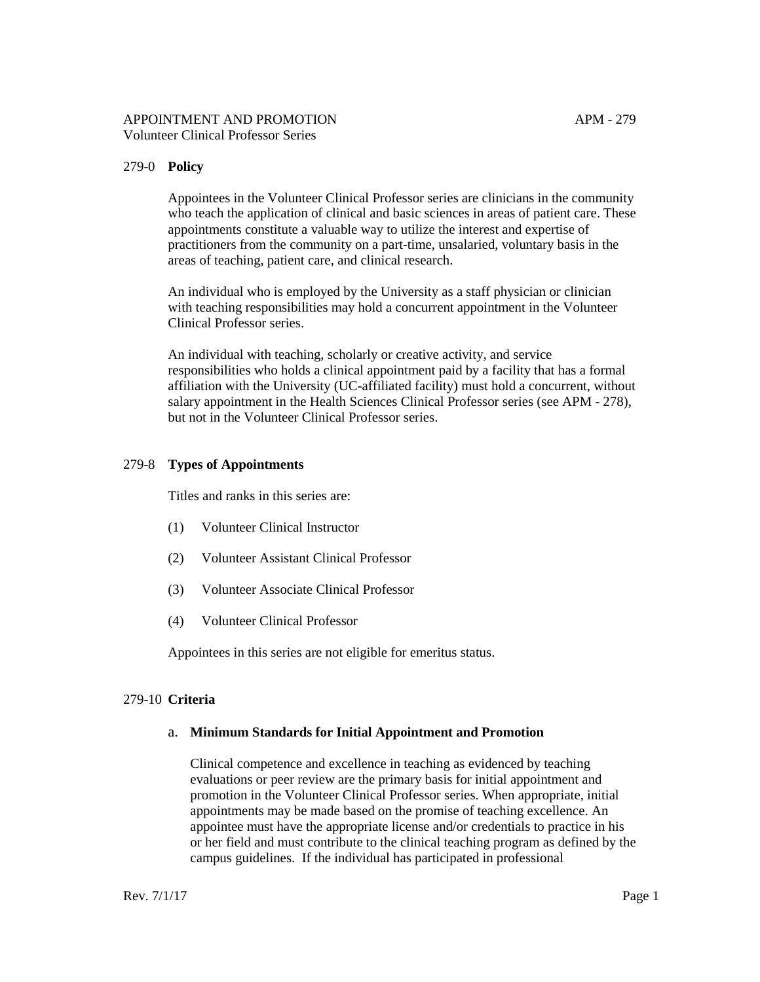### APPOINTMENT AND PROMOTION APM - 279 Volunteer Clinical Professor Series

# 279-0 **Policy**

Appointees in the Volunteer Clinical Professor series are clinicians in the community who teach the application of clinical and basic sciences in areas of patient care. These appointments constitute a valuable way to utilize the interest and expertise of practitioners from the community on a part-time, unsalaried, voluntary basis in the areas of teaching, patient care, and clinical research.

An individual who is employed by the University as a staff physician or clinician with teaching responsibilities may hold a concurrent appointment in the Volunteer Clinical Professor series.

An individual with teaching, scholarly or creative activity, and service responsibilities who holds a clinical appointment paid by a facility that has a formal affiliation with the University (UC-affiliated facility) must hold a concurrent, without salary appointment in the Health Sciences Clinical Professor series [\(see APM -](http://www.ucop.edu/academic-personnel-programs/_files/apm/apm-278.pdf) 278), but not in the Volunteer Clinical Professor series.

# 279-8 **Types of Appointments**

Titles and ranks in this series are:

- (1) Volunteer Clinical Instructor
- (2) Volunteer Assistant Clinical Professor
- (3) Volunteer Associate Clinical Professor
- (4) Volunteer Clinical Professor

Appointees in this series are not eligible for emeritus status.

# 279-10 **Criteria**

### a. **Minimum Standards for Initial Appointment and Promotion**

Clinical competence and excellence in teaching as evidenced by teaching evaluations or peer review are the primary basis for initial appointment and promotion in the Volunteer Clinical Professor series. When appropriate, initial appointments may be made based on the promise of teaching excellence. An appointee must have the appropriate license and/or credentials to practice in his or her field and must contribute to the clinical teaching program as defined by the campus guidelines. If the individual has participated in professional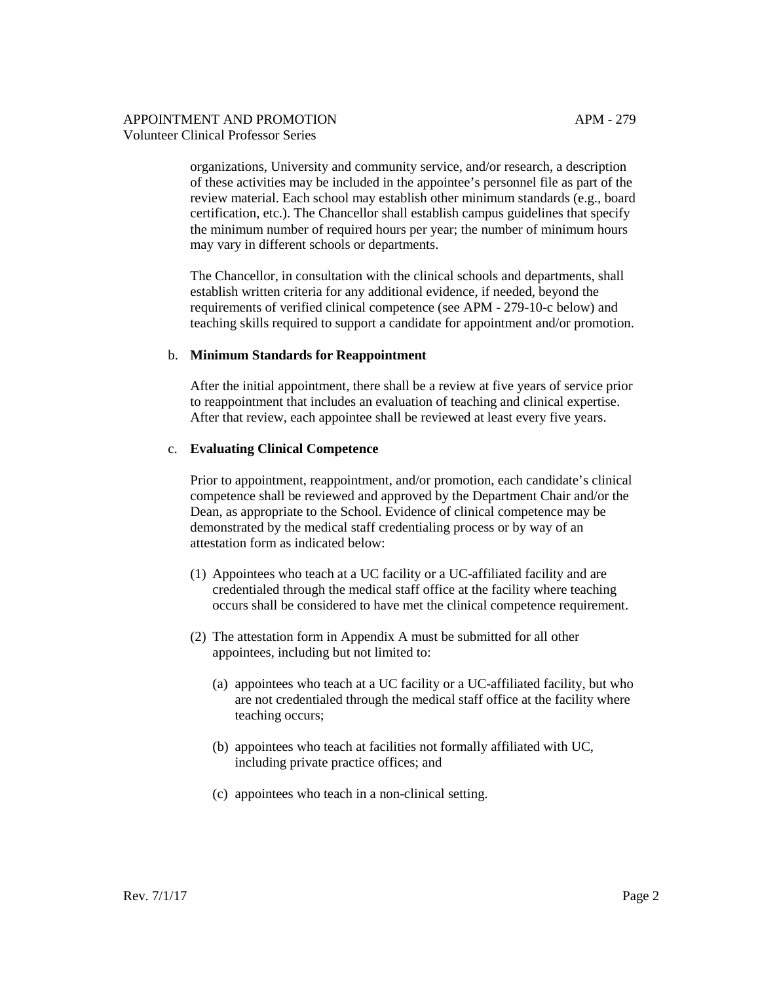### APPOINTMENT AND PROMOTION APM - 279 Volunteer Clinical Professor Series

organizations, University and community service, and/or research, a description of these activities may be included in the appointee's personnel file as part of the review material. Each school may establish other minimum standards (e.g., board certification, etc.). The Chancellor shall establish campus guidelines that specify the minimum number of required hours per year; the number of minimum hours may vary in different schools or departments.

The Chancellor, in consultation with the clinical schools and departments, shall establish written criteria for any additional evidence, if needed, beyond the requirements of verified clinical competence (see APM - 279-10-c below) and teaching skills required to support a candidate for appointment and/or promotion.

### b. **Minimum Standards for Reappointment**

After the initial appointment, there shall be a review at five years of service prior to reappointment that includes an evaluation of teaching and clinical expertise. After that review, each appointee shall be reviewed at least every five years.

### c. **Evaluating Clinical Competence**

Prior to appointment, reappointment, and/or promotion, each candidate's clinical competence shall be reviewed and approved by the Department Chair and/or the Dean, as appropriate to the School. Evidence of clinical competence may be demonstrated by the medical staff credentialing process or by way of an attestation form as indicated below:

- (1) Appointees who teach at a UC facility or a UC-affiliated facility and are credentialed through the medical staff office at the facility where teaching occurs shall be considered to have met the clinical competence requirement.
- (2) The attestation form in Appendix A must be submitted for all other appointees, including but not limited to:
	- (a) appointees who teach at a UC facility or a UC-affiliated facility, but who are not credentialed through the medical staff office at the facility where teaching occurs;
	- (b) appointees who teach at facilities not formally affiliated with UC, including private practice offices; and
	- (c) appointees who teach in a non-clinical setting.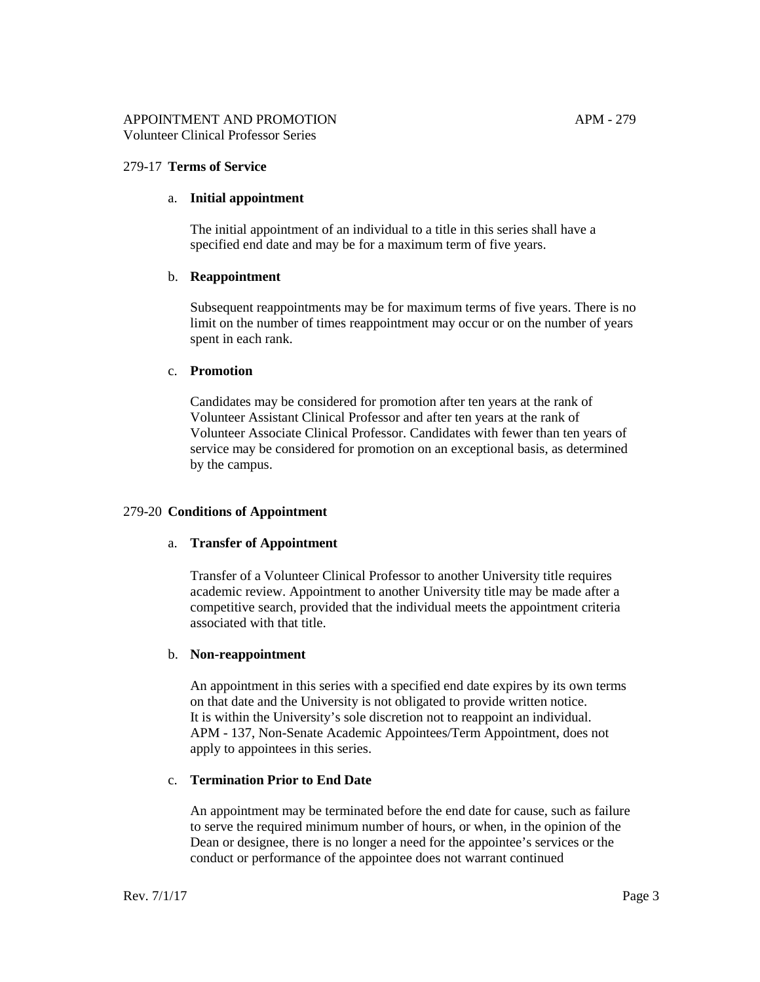## 279-17 **Terms of Service**

#### a. **Initial appointment**

The initial appointment of an individual to a title in this series shall have a specified end date and may be for a maximum term of five years.

#### b. **Reappointment**

Subsequent reappointments may be for maximum terms of five years. There is no limit on the number of times reappointment may occur or on the number of years spent in each rank.

#### c. **Promotion**

Candidates may be considered for promotion after ten years at the rank of Volunteer Assistant Clinical Professor and after ten years at the rank of Volunteer Associate Clinical Professor. Candidates with fewer than ten years of service may be considered for promotion on an exceptional basis, as determined by the campus.

### 279-20 **Conditions of Appointment**

### a. **Transfer of Appointment**

Transfer of a Volunteer Clinical Professor to another University title requires academic review. Appointment to another University title may be made after a competitive search, provided that the individual meets the appointment criteria associated with that title.

### b. **Non-reappointment**

An appointment in this series with a specified end date expires by its own terms on that date and the University is not obligated to provide written notice. It is within the University's sole discretion not to reappoint an individual. APM - [137, Non-Senate Academic Appointees/Term Appointment, d](http://www.ucop.edu/academic-personnel-programs/_files/apm/apm-137.pdf)oes not apply to appointees in this series.

## c. **Termination Prior to End Date**

An appointment may be terminated before the end date for cause, such as failure to serve the required minimum number of hours, or when, in the opinion of the Dean or designee, there is no longer a need for the appointee's services or the conduct or performance of the appointee does not warrant continued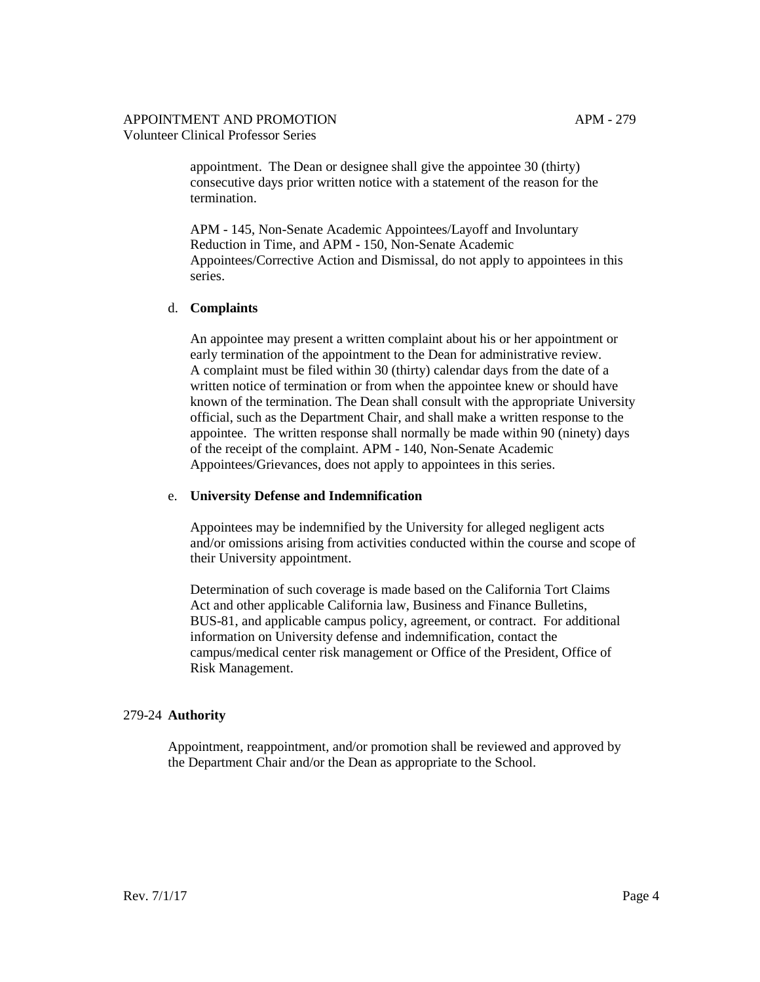### APPOINTMENT AND PROMOTION APM - 279 Volunteer Clinical Professor Series

appointment. The Dean or designee shall give the appointee 30 (thirty) consecutive days prior written notice with a statement of the reason for the termination.

[APM -](http://www.ucop.edu/academic-personnel-programs/_files/apm/apm-145.pdf) 145, Non-Senate Academic Appointees/Layoff and Involuntary Reduction in Time, and [APM -](http://www.ucop.edu/academic-personnel-programs/_files/apm/apm-150.pdf) 150, Non-Senate Academic Appointees/Corrective Action and Dismissal, do not apply to appointees in this series.

#### d. **Complaints**

An appointee may present a written complaint about his or her appointment or early termination of the appointment to the Dean for administrative review. A complaint must be filed within 30 (thirty) calendar days from the date of a written notice of termination or from when the appointee knew or should have known of the termination. The Dean shall consult with the appropriate University official, such as the Department Chair, and shall make a written response to the appointee. The written response shall normally be made within 90 (ninety) days of the receipt of the complaint. [APM -](http://www.ucop.edu/academic-personnel-programs/_files/apm/apm-140.pdf) 140, Non-Senate Academic Appointees/Grievances, does not apply to appointees in this series.

#### e. **University Defense and Indemnification**

Appointees may be indemnified by the University for alleged negligent acts and/or omissions arising from activities conducted within the course and scope of their University appointment.

Determination of such coverage is made based on the California Tort Claims Act and other applicable California law, Business and Finance Bulletins, [BUS-81,](http://policy.ucop.edu/doc/3520505/BFB-BUS-81) and applicable campus policy, agreement, or contract. For additional information on University defense and indemnification, contact the campus/medical center risk management or Office of the President, Office of Risk Management.

### 279-24 **Authority**

Appointment, reappointment, and/or promotion shall be reviewed and approved by the Department Chair and/or the Dean as appropriate to the School.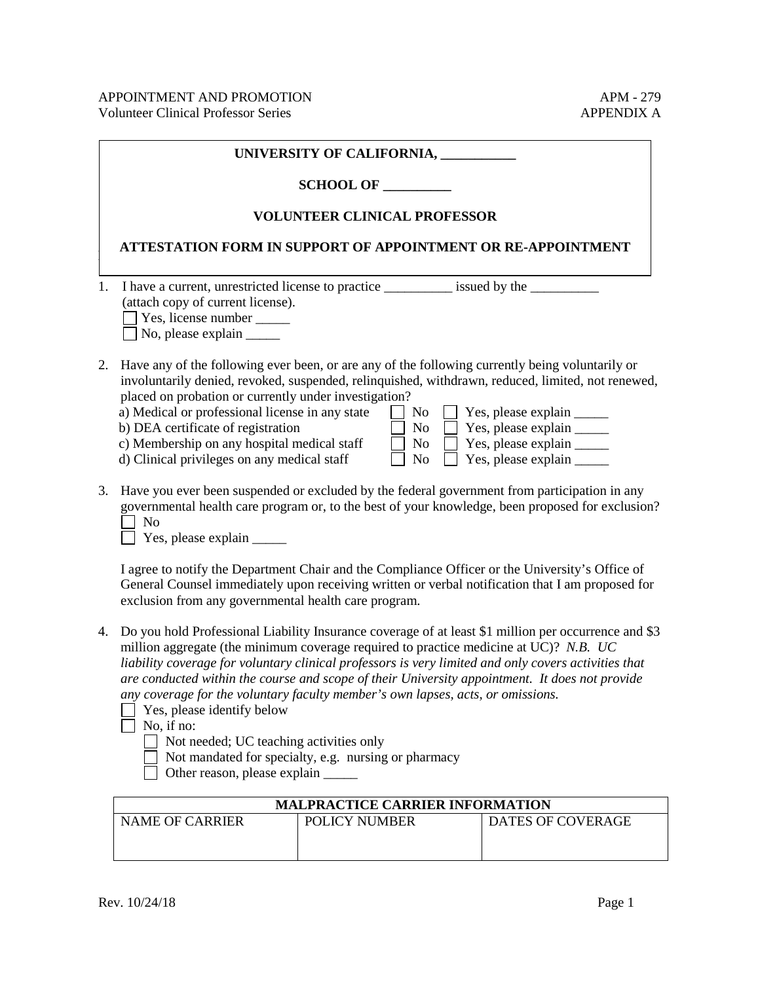|    | UNIVERSITY OF CALIFORNIA,<br><b>SCHOOL OF</b><br><b>VOLUNTEER CLINICAL PROFESSOR</b>                                                                                                                                                                                                                                                                                                                                                                                                                                                                                                                                                                                      |  |  |  |  |
|----|---------------------------------------------------------------------------------------------------------------------------------------------------------------------------------------------------------------------------------------------------------------------------------------------------------------------------------------------------------------------------------------------------------------------------------------------------------------------------------------------------------------------------------------------------------------------------------------------------------------------------------------------------------------------------|--|--|--|--|
|    |                                                                                                                                                                                                                                                                                                                                                                                                                                                                                                                                                                                                                                                                           |  |  |  |  |
|    |                                                                                                                                                                                                                                                                                                                                                                                                                                                                                                                                                                                                                                                                           |  |  |  |  |
|    | ATTESTATION FORM IN SUPPORT OF APPOINTMENT OR RE-APPOINTMENT                                                                                                                                                                                                                                                                                                                                                                                                                                                                                                                                                                                                              |  |  |  |  |
| 1. | I have a current, unrestricted license to practice ___________ issued by the __________<br>(attach copy of current license).<br>Yes, license number ________<br>$\Box$ No, please explain $\Box$                                                                                                                                                                                                                                                                                                                                                                                                                                                                          |  |  |  |  |
| 2. | Have any of the following ever been, or are any of the following currently being voluntarily or<br>involuntarily denied, revoked, suspended, relinquished, withdrawn, reduced, limited, not renewed,<br>placed on probation or currently under investigation?<br>a) Medical or professional license in any state<br>Yes, please explain _______<br>No<br>b) DEA certificate of registration<br>No<br>Yes, please explain ______<br>c) Membership on any hospital medical staff<br>Yes, please explain _______<br>No<br>d) Clinical privileges on any medical staff<br>N <sub>o</sub>                                                                                      |  |  |  |  |
| 3. | Have you ever been suspended or excluded by the federal government from participation in any<br>governmental health care program or, to the best of your knowledge, been proposed for exclusion?<br>N <sub>o</sub><br>Yes, please explain _______                                                                                                                                                                                                                                                                                                                                                                                                                         |  |  |  |  |
|    | I agree to notify the Department Chair and the Compliance Officer or the University's Office of<br>General Counsel immediately upon receiving written or verbal notification that I am proposed for<br>exclusion from any governmental health care program.                                                                                                                                                                                                                                                                                                                                                                                                               |  |  |  |  |
| 4. | Do you hold Professional Liability Insurance coverage of at least \$1 million per occurrence and \$3<br>million aggregate (the minimum coverage required to practice medicine at UC)? N.B. UC<br>liability coverage for voluntary clinical professors is very limited and only covers activities that<br>are conducted within the course and scope of their University appointment. It does not provide<br>any coverage for the voluntary faculty member's own lapses, acts, or omissions.<br>Yes, please identify below<br>No, if no:<br>Not needed; UC teaching activities only<br>Not mandated for specialty, e.g. nursing or pharmacy<br>Other reason, please explain |  |  |  |  |
|    | MALPRACTICE CARRIER INFORMATION                                                                                                                                                                                                                                                                                                                                                                                                                                                                                                                                                                                                                                           |  |  |  |  |
|    | <b>NAME OF CARRIER</b><br>POLICY NUMBER<br>DATES OF COVERAGE                                                                                                                                                                                                                                                                                                                                                                                                                                                                                                                                                                                                              |  |  |  |  |